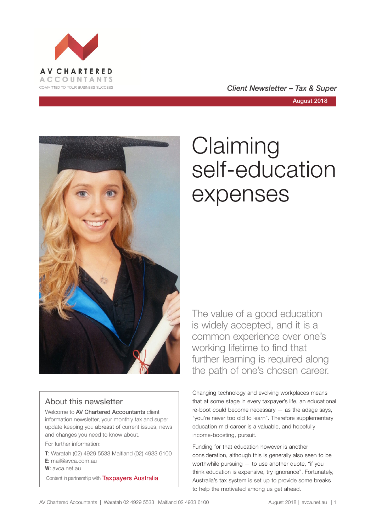

COMMITTED TO YOUR BUSINESS SUCCESS **COMMITTED TO YOUR BUSINESS SUCCESS** 

August 2018



# About this newsletter

Welcome to AV Chartered Accountants client information newsletter, your monthly tax and super update keeping you abreast of current issues, news and changes you need to know about.

For further information:

**T**: Waratah (02) 4929 5533 Maitland (02) 4933 6100 **E**: mail@avca.com.au

**W**: avca.net.au

Content in partnership with **Taxpayers Australia** 

# **Claiming** self-education expenses

The value of a good education is widely accepted, and it is a common experience over one's working lifetime to find that further learning is required along the path of one's chosen career.

Changing technology and evolving workplaces means that at some stage in every taxpayer's life, an educational re-boot could become necessary — as the adage says, "you're never too old to learn". Therefore supplementary education mid-career is a valuable, and hopefully income-boosting, pursuit.

Funding for that education however is another consideration, although this is generally also seen to be worthwhile pursuing — to use another quote, "if you think education is expensive, try ignorance". Fortunately, Australia's tax system is set up to provide some breaks to help the motivated among us get ahead.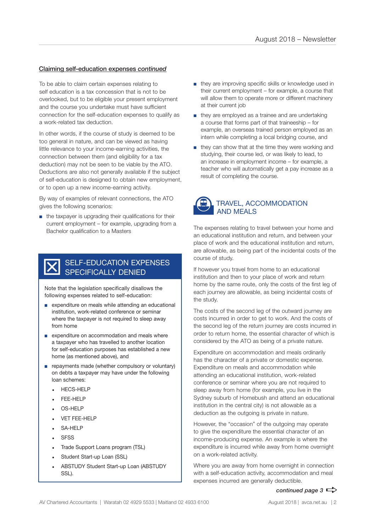#### Claiming self-education expenses *continued*

To be able to claim certain expenses relating to self education is a tax concession that is not to be overlooked, but to be eligible your present employment and the course you undertake must have sufficient connection for the self-education expenses to qualify as a work-related tax deduction.

In other words, if the course of study is deemed to be too general in nature, and can be viewed as having little relevance to your income-earning activities, the connection between them (and eligibility for a tax deduction) may not be seen to be viable by the ATO. Deductions are also not generally available if the subject of self-education is designed to obtain new employment, or to open up a new income-earning activity.

By way of examples of relevant connections, the ATO gives the following scenarios:

■ the taxpayer is upgrading their qualifications for their current employment – for example, upgrading from a Bachelor qualification to a Masters

## SELF-EDUCATION EXPENSES SPECIFICALLY DENIED

Note that the legislation specifically disallows the following expenses related to self-education:

- expenditure on meals while attending an educational institution, work-related conference or seminar where the taxpayer is not required to sleep away from home
- expenditure on accommodation and meals where a taxpayer who has travelled to another location for self-education purposes has established a new home (as mentioned above), and
- repayments made (whether compulsory or voluntary) on debts a taxpayer may have under the following loan schemes:
	- HECS-HELP
	- FEE-HELP
	- OS-HELP
	- **VET FEE-HELP**
	- $-$  SA-HFLP
	- **SFSS**
	- Trade Support Loans program (TSL)
	- Student Start-up Loan (SSL)
	- ABSTUDY Student Start-up Loan (ABSTUDY SSL).
- they are improving specific skills or knowledge used in their current employment – for example, a course that will allow them to operate more or different machinery at their current job
- they are employed as a trainee and are undertaking a course that forms part of that traineeship – for example, an overseas trained person employed as an intern while completing a local bridging course, and
- they can show that at the time they were working and studying, their course led, or was likely to lead, to an increase in employment income – for example, a teacher who will automatically get a pay increase as a result of completing the course.



The expenses relating to travel between your home and an educational institution and return, and between your place of work and the educational institution and return, are allowable, as being part of the incidental costs of the course of study.

If however you travel from home to an educational institution and then to your place of work and return home by the same route, only the costs of the first leg of each journey are allowable, as being incidental costs of the study.

The costs of the second leg of the outward journey are costs incurred in order to get to work. And the costs of the second leg of the return journey are costs incurred in order to return home, the essential character of which is considered by the ATO as being of a private nature.

Expenditure on accommodation and meals ordinarily has the character of a private or domestic expense. Expenditure on meals and accommodation while attending an educational institution, work-related conference or seminar where you are not required to sleep away from home (for example, you live in the Sydney suburb of Homebush and attend an educational institution in the central city) is not allowable as a deduction as the outgoing is private in nature.

However, the "occasion" of the outgoing may operate to give the expenditure the essential character of an income-producing expense. An example is where the expenditure is incurred while away from home overnight on a work-related activity.

Where you are away from home overnight in connection with a self-education activity, accommodation and meal expenses incurred are generally deductible.

### *continued page 3*  $\Rightarrow$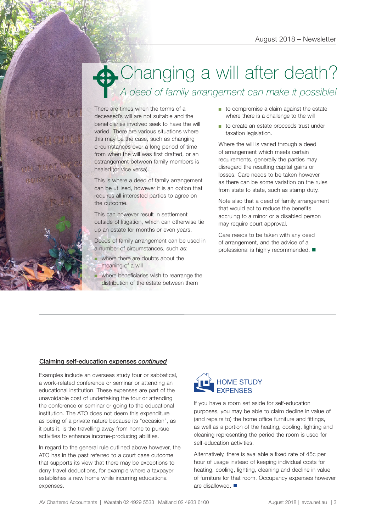# Changing a will after death? *A deed of family arrangement can make it possible!*  $\bullet$

There are times when the terms of a deceased's will are not suitable and the beneficiaries involved seek to have the will varied. There are various situations where this may be the case, such as changing circumstances over a long period of time from when the will was first drafted, or an estrangement between family members is healed (or vice versa).

This is where a deed of family arrangement can be utilised, however it is an option that requires all interested parties to agree on the outcome.

This can however result in settlement outside of litigation, which can otherwise tie up an estate for months or even years.

Deeds of family arrangement can be used in a number of circumstances, such as:

■ where there are doubts about the meaning of a will

where beneficiaries wish to rearrange the distribution of the estate between them

- to compromise a claim against the estate where there is a challenge to the will
- to create an estate proceeds trust under taxation legislation.

Where the will is varied through a deed of arrangement which meets certain requirements, generally the parties may disregard the resulting capital gains or losses. Care needs to be taken however as there can be some variation on the rules from state to state, such as stamp duty.

Note also that a deed of family arrangement that would act to reduce the benefits accruing to a minor or a disabled person may require court approval.

Care needs to be taken with any deed of arrangement, and the advice of a professional is highly recommended.  $\blacksquare$ 

### Claiming self-education expenses *continued*

Examples include an overseas study tour or sabbatical, a work-related conference or seminar or attending an educational institution. These expenses are part of the unavoidable cost of undertaking the tour or attending the conference or seminar or going to the educational institution. The ATO does not deem this expenditure as being of a private nature because its "occasion", as it puts it, is the travelling away from home to pursue activities to enhance income-producing abilities.

In regard to the general rule outlined above however, the ATO has in the past referred to a court case outcome that supports its view that there may be exceptions to deny travel deductions, for example where a taxpayer establishes a new home while incurring educational expenses.



If you have a room set aside for self-education purposes, you may be able to claim decline in value of (and repairs to) the home office furniture and fittings, as well as a portion of the heating, cooling, lighting and cleaning representing the period the room is used for self-education activities.

Alternatively, there is available a fixed rate of 45c per hour of usage instead of keeping individual costs for heating, cooling, lighting, cleaning and decline in value of furniture for that room. Occupancy expenses however are disallowed.  $\blacksquare$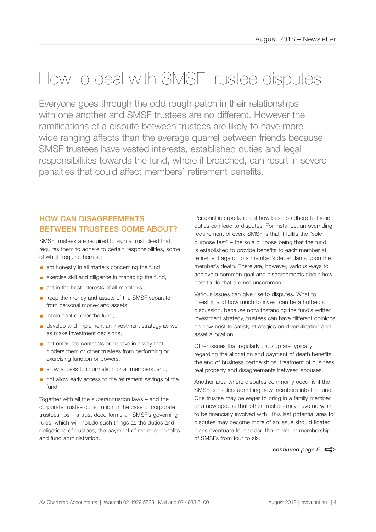# How to deal with SMSF trustee disputes

Everyone goes through the odd rough patch in their relationships with one another and SMSF trustees are no different. However the ramifications of a dispute between trustees are likely to have more wide ranging affects than the average quarrel between friends because SMSF trustees have vested interests, established duties and legal responsibilities towards the fund, where if breached, can result in severe penalties that could affect members' retirement benefits.

# HOW CAN DISAGREEMENTS BETWEEN TRUSTEES COME ABOUT?

SMSF trustees are required to sign a trust deed that requires them to adhere to certain responsibilities, some of which require them to:

- act honestly in all matters concerning the fund,
- exercise skill and diligence in managing the fund,
- act in the best interests of all members,
- keep the money and assets of the SMSF separate from personal money and assets,
- **E** retain control over the fund.
- develop and implement an investment strategy as well as make investment decisions,
- not enter into contracts or behave in a way that hinders them or other trustees from performing or exercising function or powers,
- **a** allow access to information for all members, and,
- not allow early access to the retirement savings of the fund.

Together with all the superannuation laws – and the corporate trustee constitution in the case of corporate trusteeships – a trust deed forms an SMSF's governing rules, which will include such things as the duties and obligations of trustees, the payment of member benefits and fund administration.

Personal interpretation of how best to adhere to these duties can lead to disputes. For instance, an overriding requirement of every SMSF is that it fulfils the "sole purpose test" – the sole purpose being that the fund is established to provide benefits to each member at retirement age or to a member's dependants upon the member's death. There are, however, various ways to achieve a common goal and disagreements about how best to do that are not uncommon.

Various issues can give rise to disputes. What to invest in and how much to invest can be a hotbed of discussion, because notwithstanding the fund's written investment strategy, trustees can have different opinions on how best to satisfy strategies on diversification and asset allocation.

Other issues that regularly crop up are typically regarding the allocation and payment of death benefits, the end of business partnerships, treatment of business real property and disagreements between spouses.

Another area where disputes commonly occur is if the SMSF considers admitting new members into the fund. One trustee may be eager to bring in a family member or a new spouse that other trustees may have no wish to be financially involved with. This last potential area for disputes may become more of an issue should floated plans eventuate to increase the minimum membership of SMSFs from four to six.

*continued page 5*  $\Rightarrow$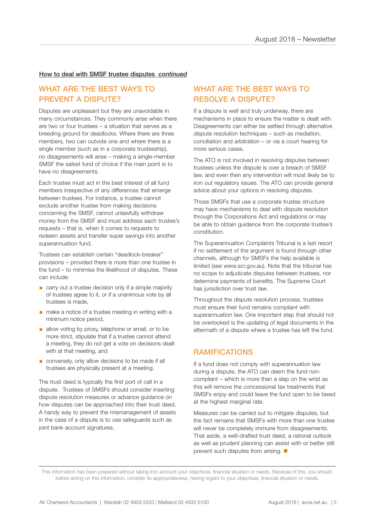#### How to deal with SMSF trustee disputes *continued*

## WHAT ARE THE BEST WAYS TO PREVENT A DISPUTE?

Disputes are unpleasant but they are unavoidable in many circumstances. They commonly arise when there are two or four trustees – a situation that serves as a breeding ground for deadlocks. Where there are three members, two can outvote one and where there is a single member (such as in a corporate trusteeship), no disagreements will arise – making a single-member SMSF the safest fund of choice if the main point is to have no disagreements.

Each trustee must act in the best interest of all fund members irrespective of any differences that emerge between trustees. For instance, a trustee cannot exclude another trustee from making decisions concerning the SMSF, cannot unlawfully withdraw money from the SMSF and must address each trustee's requests – that is, when it comes to requests to redeem assets and transfer super savings into another superannuation fund.

Trustees can establish certain "deadlock-breaker" provisions – provided there is more than one trustee in the fund – to minimise the likelihood of disputes. These can include:

- carry out a trustee decision only if a simple majority of trustees agree to it, or if a unanimous vote by all trustees is made,
- make a notice of a trustee meeting in writing with a minimum notice period,
- allow voting by proxy, telephone or email, or to be more strict, stipulate that if a trustee cannot attend a meeting, they do not get a vote on decisions dealt with at that meeting, and
- conversely, only allow decisions to be made if all trustees are physically present at a meeting.

The trust deed is typically the first port of call in a dispute. Trustees of SMSFs should consider inserting dispute resolution measures or advance guidance on how disputes can be approached into their trust deed. A handy way to prevent the mismanagement of assets in the case of a dispute is to use safeguards such as joint bank account signatures.

# WHAT ARE THE BEST WAYS TO RESOLVE A DISPUTE?

If a dispute is well and truly underway, there are mechanisms in place to ensure the matter is dealt with. Disagreements can either be settled through alternative dispute resolution techniques – such as mediation, conciliation and arbitration – or via a court hearing for more serious cases.

The ATO is not involved in resolving disputes between trustees unless the dispute is over a breach of SMSF law, and even then any intervention will most likely be to iron out regulatory issues. The ATO can provide general advice about your options in resolving disputes.

Those SMSFs that use a corporate trustee structure may have mechanisms to deal with dispute resolution through the Corporations Act and regulations or may be able to obtain guidance from the corporate trustee's constitution.

The Superannuation Complaints Tribunal is a last resort if no settlement of the argument is found through other channels, although for SMSFs the help available is limited (see www.scr.gov.au). Note that the tribunal has no scope to adjudicate disputes between trustees, nor determine payments of benefits. The Supreme Court has jurisdiction over trust law.

Throughout the dispute resolution process, trustees must ensure their fund remains compliant with superannuation law. One important step that should not be overlooked is the updating of legal documents in the aftermath of a dispute where a trustee has left the fund.

## RAMIFICATIONS

If a fund does not comply with superannuation law during a dispute, the ATO can deem the fund noncompliant – which is more than a slap on the wrist as this will remove the concessional tax treatments that SMSFs enjoy and could leave the fund open to be taxed at the highest marginal rate.

Measures can be carried out to mitigate disputes, but the fact remains that SMSFs with more than one trustee will never be completely immune from disagreements. That aside, a well-drafted trust deed, a rational outlook as well as prudent planning can assist with or better still prevent such disputes from arising.  $\blacksquare$ 

This information has been prepared without taking into account your objectives, financial situation or needs. Because of this, you should, before acting on this information, consider its appropriateness, having regard to your objectives, financial situation or needs.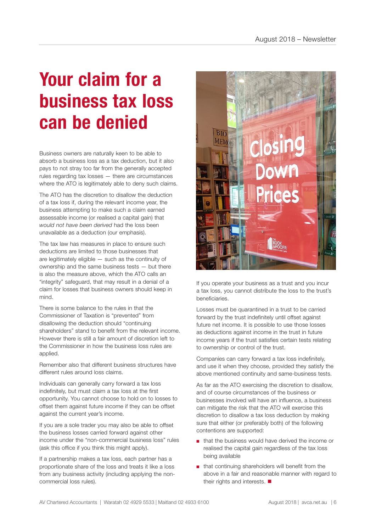# **Your claim for a business tax loss can be denied**

Business owners are naturally keen to be able to absorb a business loss as a tax deduction, but it also pays to not stray too far from the generally accepted rules regarding tax losses — there are circumstances where the ATO is legitimately able to deny such claims.

The ATO has the discretion to disallow the deduction of a tax loss if, during the relevant income year, the business attempting to make such a claim earned assessable income (or realised a capital gain) that *would not have been derived* had the loss been unavailable as a deduction (our emphasis).

The tax law has measures in place to ensure such deductions are limited to those businesses that are legitimately eligible — such as the continuity of ownership and the same business tests — but there is also the measure above, which the ATO calls an "integrity" safeguard, that may result in a denial of a claim for losses that business owners should keep in mind.

There is some balance to the rules in that the Commissioner of Taxation is "prevented" from disallowing the deduction should "continuing shareholders" stand to benefit from the relevant income. However there is still a fair amount of discretion left to the Commissioner in how the business loss rules are applied.

Remember also that different business structures have different rules around loss claims.

Individuals can generally carry forward a tax loss indefinitely, but must claim a tax loss at the first opportunity. You cannot choose to hold on to losses to offset them against future income if they can be offset against the current year's income.

If you are a sole trader you may also be able to offset the business losses carried forward against other income under the "non-commercial business loss" rules (ask this office if you think this might apply).

If a partnership makes a tax loss, each partner has a proportionate share of the loss and treats it like a loss from any business activity (including applying the noncommercial loss rules).



If you operate your business as a trust and you incur a tax loss, you cannot distribute the loss to the trust's beneficiaries.

Losses must be quarantined in a trust to be carried forward by the trust indefinitely until offset against future net income. It is possible to use those losses as deductions against income in the trust in future income years if the trust satisfies certain tests relating to ownership or control of the trust.

Companies can carry forward a tax loss indefinitely, and use it when they choose, provided they satisfy the above mentioned continuity and same-business tests.

As far as the ATO exercising the discretion to disallow, and of course circumstances of the business or businesses involved will have an influence, a business can mitigate the risk that the ATO will exercise this discretion to disallow a tax loss deduction by making sure that either (or preferably both) of the following contentions are supported:

- that the business would have derived the income or realised the capital gain regardless of the tax loss being available
- that continuing shareholders will benefit from the above in a fair and reasonable manner with regard to their rights and interests.  $\blacksquare$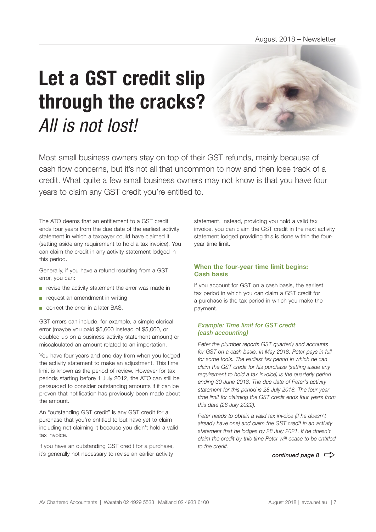# **Let a GST credit slip through the cracks?** *All is not lost!*

Most small business owners stay on top of their GST refunds, mainly because of cash flow concerns, but it's not all that uncommon to now and then lose track of a credit. What quite a few small business owners may not know is that you have four years to claim any GST credit you're entitled to.

The ATO deems that an entitlement to a GST credit ends four years from the due date of the earliest activity statement in which a taxpayer could have claimed it (setting aside any requirement to hold a tax invoice). You can claim the credit in any activity statement lodged in this period.

Generally, if you have a refund resulting from a GST error, you can:

- revise the activity statement the error was made in
- request an amendment in writing
- correct the error in a later BAS.

GST errors can include, for example, a simple clerical error (maybe you paid \$5,600 instead of \$5,060, or doubled up on a business activity statement amount) or miscalculated an amount related to an importation.

You have four years and one day from when you lodged the activity statement to make an adjustment. This time limit is known as the period of review. However for tax periods starting before 1 July 2012, the ATO can still be persuaded to consider outstanding amounts if it can be proven that notification has previously been made about the amount.

An "outstanding GST credit" is any GST credit for a purchase that you're entitled to but have yet to claim – including not claiming it because you didn't hold a valid tax invoice.

If you have an outstanding GST credit for a purchase, it's generally not necessary to revise an earlier activity

statement. Instead, providing you hold a valid tax invoice, you can claim the GST credit in the next activity statement lodged providing this is done within the fouryear time limit.

### **When the four-year time limit begins: Cash basis**

If you account for GST on a cash basis, the earliest tax period in which you can claim a GST credit for a purchase is the tax period in which you make the payment.

#### *Example: Time limit for GST credit (cash accounting)*

*Peter the plumber reports GST quarterly and accounts for GST on a cash basis. In May 2018, Peter pays in full for some tools. The earliest tax period in which he can claim the GST credit for his purchase (setting aside any requirement to hold a tax invoice) is the quarterly period ending 30 June 2018. The due date of Peter's activity statement for this period is 28 July 2018. The four-year time limit for claiming the GST credit ends four years from this date (28 July 2022).*

*Peter needs to obtain a valid tax invoice (if he doesn't already have one) and claim the GST credit in an activity statement that he lodges by 28 July 2021. If he doesn't claim the credit by this time Peter will cease to be entitled to the credit.*

*continued page 8*  $\Rightarrow$